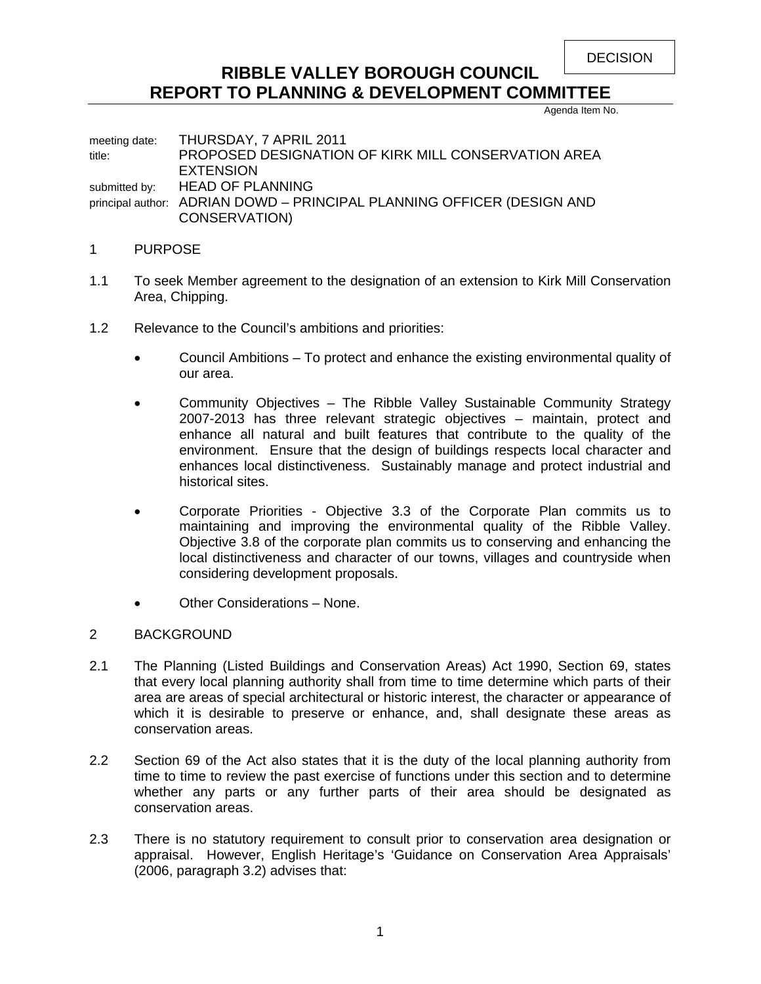```
DECISION
```
# **RIBBLE VALLEY BOROUGH COUNCIL REPORT TO PLANNING & DEVELOPMENT COMMITTEE**

Agenda Item No.

meeting date: THURSDAY, 7 APRIL 2011 title: PROPOSED DESIGNATION OF KIRK MILL CONSERVATION AREA **EXTENSION** submitted by: HEAD OF PLANNING principal author: ADRIAN DOWD – PRINCIPAL PLANNING OFFICER (DESIGN AND CONSERVATION)

### 1 PURPOSE

- 1.1 To seek Member agreement to the designation of an extension to Kirk Mill Conservation Area, Chipping.
- 1.2 Relevance to the Council's ambitions and priorities:
	- Council Ambitions To protect and enhance the existing environmental quality of our area.
	- Community Objectives The Ribble Valley Sustainable Community Strategy 2007-2013 has three relevant strategic objectives – maintain, protect and enhance all natural and built features that contribute to the quality of the environment. Ensure that the design of buildings respects local character and enhances local distinctiveness. Sustainably manage and protect industrial and historical sites.
	- Corporate Priorities Objective 3.3 of the Corporate Plan commits us to maintaining and improving the environmental quality of the Ribble Valley. Objective 3.8 of the corporate plan commits us to conserving and enhancing the local distinctiveness and character of our towns, villages and countryside when considering development proposals.
	- Other Considerations None.

## 2 BACKGROUND

- 2.1 The Planning (Listed Buildings and Conservation Areas) Act 1990, Section 69, states that every local planning authority shall from time to time determine which parts of their area are areas of special architectural or historic interest, the character or appearance of which it is desirable to preserve or enhance, and, shall designate these areas as conservation areas.
- 2.2 Section 69 of the Act also states that it is the duty of the local planning authority from time to time to review the past exercise of functions under this section and to determine whether any parts or any further parts of their area should be designated as conservation areas.
- 2.3 There is no statutory requirement to consult prior to conservation area designation or appraisal. However, English Heritage's 'Guidance on Conservation Area Appraisals' (2006, paragraph 3.2) advises that: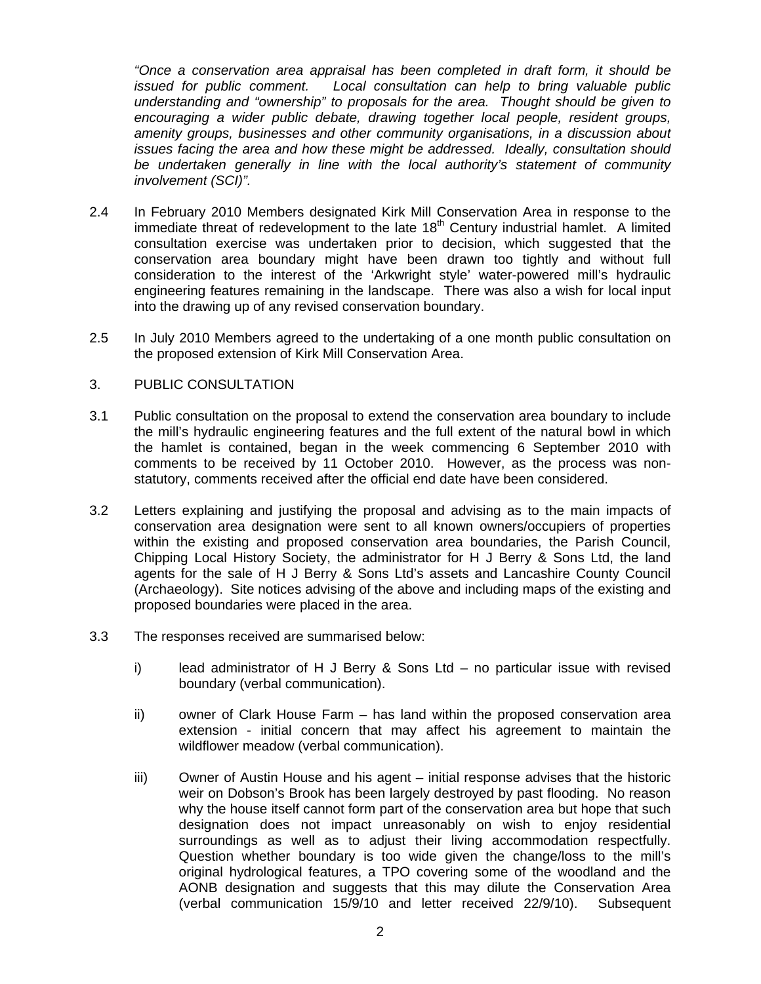*"Once a conservation area appraisal has been completed in draft form, it should be issued for public comment. Local consultation can help to bring valuable public understanding and "ownership" to proposals for the area. Thought should be given to encouraging a wider public debate, drawing together local people, resident groups, amenity groups, businesses and other community organisations, in a discussion about issues facing the area and how these might be addressed. Ideally, consultation should be undertaken generally in line with the local authority's statement of community involvement (SCI)".* 

- 2.4 In February 2010 Members designated Kirk Mill Conservation Area in response to the immediate threat of redevelopment to the late  $18<sup>th</sup>$  Century industrial hamlet. A limited consultation exercise was undertaken prior to decision, which suggested that the conservation area boundary might have been drawn too tightly and without full consideration to the interest of the 'Arkwright style' water-powered mill's hydraulic engineering features remaining in the landscape. There was also a wish for local input into the drawing up of any revised conservation boundary.
- 2.5 In July 2010 Members agreed to the undertaking of a one month public consultation on the proposed extension of Kirk Mill Conservation Area.
- 3. PUBLIC CONSULTATION
- 3.1 Public consultation on the proposal to extend the conservation area boundary to include the mill's hydraulic engineering features and the full extent of the natural bowl in which the hamlet is contained, began in the week commencing 6 September 2010 with comments to be received by 11 October 2010. However, as the process was nonstatutory, comments received after the official end date have been considered.
- 3.2 Letters explaining and justifying the proposal and advising as to the main impacts of conservation area designation were sent to all known owners/occupiers of properties within the existing and proposed conservation area boundaries, the Parish Council, Chipping Local History Society, the administrator for H J Berry & Sons Ltd, the land agents for the sale of H J Berry & Sons Ltd's assets and Lancashire County Council (Archaeology). Site notices advising of the above and including maps of the existing and proposed boundaries were placed in the area.
- 3.3 The responses received are summarised below:
	- i) lead administrator of H J Berry & Sons Ltd no particular issue with revised boundary (verbal communication).
	- ii) owner of Clark House Farm has land within the proposed conservation area extension - initial concern that may affect his agreement to maintain the wildflower meadow (verbal communication).
	- iii) Owner of Austin House and his agent initial response advises that the historic weir on Dobson's Brook has been largely destroyed by past flooding. No reason why the house itself cannot form part of the conservation area but hope that such designation does not impact unreasonably on wish to enjoy residential surroundings as well as to adjust their living accommodation respectfully. Question whether boundary is too wide given the change/loss to the mill's original hydrological features, a TPO covering some of the woodland and the AONB designation and suggests that this may dilute the Conservation Area (verbal communication 15/9/10 and letter received 22/9/10). Subsequent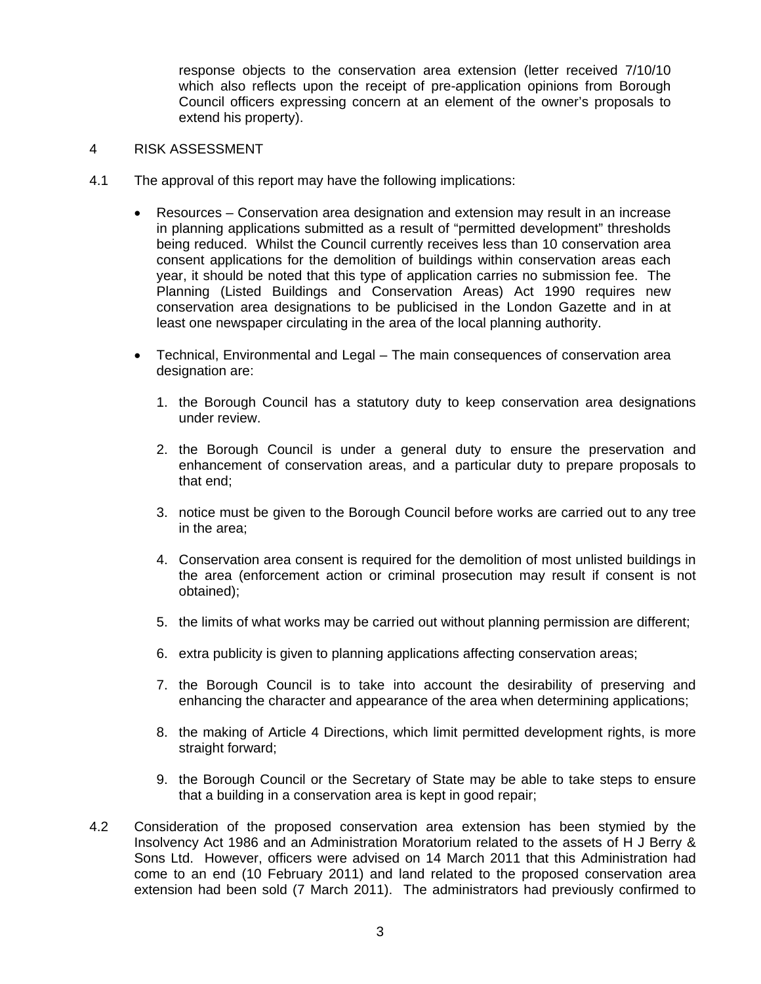response objects to the conservation area extension (letter received 7/10/10 which also reflects upon the receipt of pre-application opinions from Borough Council officers expressing concern at an element of the owner's proposals to extend his property).

- 4 RISK ASSESSMENT
- 4.1 The approval of this report may have the following implications:
	- Resources Conservation area designation and extension may result in an increase in planning applications submitted as a result of "permitted development" thresholds being reduced. Whilst the Council currently receives less than 10 conservation area consent applications for the demolition of buildings within conservation areas each year, it should be noted that this type of application carries no submission fee. The Planning (Listed Buildings and Conservation Areas) Act 1990 requires new conservation area designations to be publicised in the London Gazette and in at least one newspaper circulating in the area of the local planning authority.
	- Technical, Environmental and Legal The main consequences of conservation area designation are:
		- 1. the Borough Council has a statutory duty to keep conservation area designations under review.
		- 2. the Borough Council is under a general duty to ensure the preservation and enhancement of conservation areas, and a particular duty to prepare proposals to that end;
		- 3. notice must be given to the Borough Council before works are carried out to any tree in the area;
		- 4. Conservation area consent is required for the demolition of most unlisted buildings in the area (enforcement action or criminal prosecution may result if consent is not obtained);
		- 5. the limits of what works may be carried out without planning permission are different;
		- 6. extra publicity is given to planning applications affecting conservation areas;
		- 7. the Borough Council is to take into account the desirability of preserving and enhancing the character and appearance of the area when determining applications;
		- 8. the making of Article 4 Directions, which limit permitted development rights, is more straight forward;
		- 9. the Borough Council or the Secretary of State may be able to take steps to ensure that a building in a conservation area is kept in good repair;
- 4.2 Consideration of the proposed conservation area extension has been stymied by the Insolvency Act 1986 and an Administration Moratorium related to the assets of H J Berry & Sons Ltd. However, officers were advised on 14 March 2011 that this Administration had come to an end (10 February 2011) and land related to the proposed conservation area extension had been sold (7 March 2011). The administrators had previously confirmed to